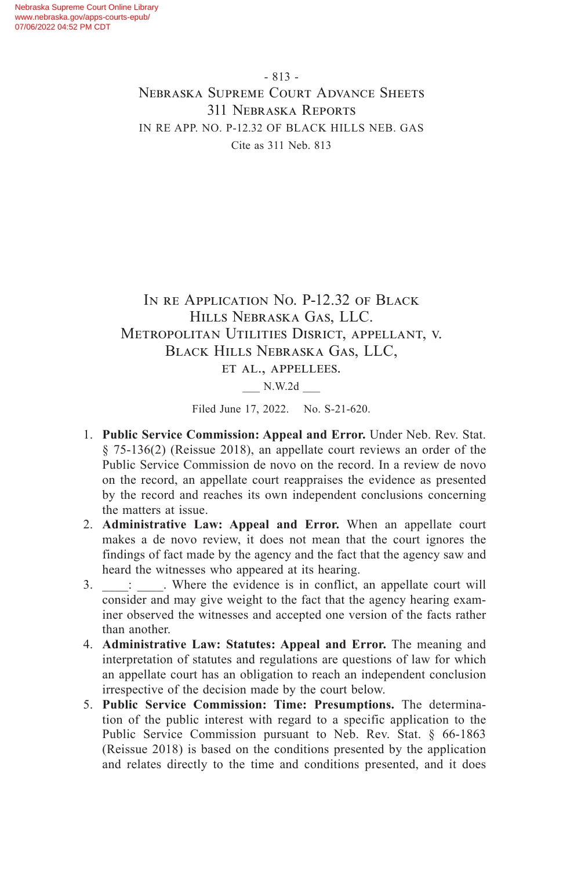Nebraska Supreme Court Online Library www.nebraska.gov/apps-courts-epub/ 07/06/2022 04:52 PM CDT

> - 813 - Nebraska Supreme Court Advance Sheets 311 Nebraska Reports IN RE APP. NO. P-12.32 OF BLACK HILLS NEB. GAS Cite as 311 Neb. 813

# In re Application No. P-12.32 of Black Hills Nebraska Gas, LLC. Metropolitan Utilities Disrict, appellant, v. Black Hills Nebraska Gas, LLC,

et al., appellees.

\_\_\_ N.W.2d \_\_\_

Filed June 17, 2022. No. S-21-620.

- 1. **Public Service Commission: Appeal and Error.** Under Neb. Rev. Stat. § 75-136(2) (Reissue 2018), an appellate court reviews an order of the Public Service Commission de novo on the record. In a review de novo on the record, an appellate court reappraises the evidence as presented by the record and reaches its own independent conclusions concerning the matters at issue.
- 2. **Administrative Law: Appeal and Error.** When an appellate court makes a de novo review, it does not mean that the court ignores the findings of fact made by the agency and the fact that the agency saw and heard the witnesses who appeared at its hearing.
- 3.  $\therefore$  Where the evidence is in conflict, an appellate court will consider and may give weight to the fact that the agency hearing examiner observed the witnesses and accepted one version of the facts rather than another.
- 4. **Administrative Law: Statutes: Appeal and Error.** The meaning and interpretation of statutes and regulations are questions of law for which an appellate court has an obligation to reach an independent conclusion irrespective of the decision made by the court below.
- 5. **Public Service Commission: Time: Presumptions.** The determination of the public interest with regard to a specific application to the Public Service Commission pursuant to Neb. Rev. Stat. § 66-1863 (Reissue 2018) is based on the conditions presented by the application and relates directly to the time and conditions presented, and it does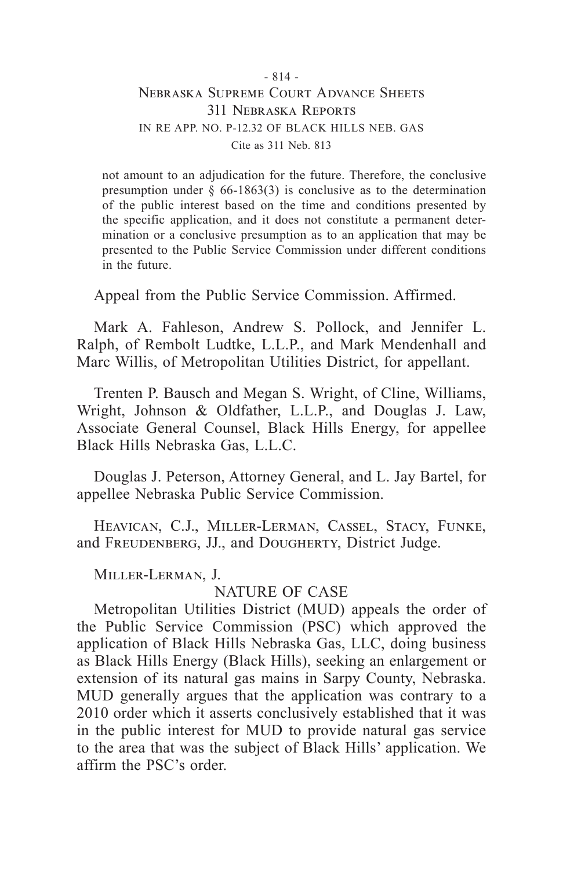not amount to an adjudication for the future. Therefore, the conclusive presumption under  $\S$  66-1863(3) is conclusive as to the determination of the public interest based on the time and conditions presented by the specific application, and it does not constitute a permanent determination or a conclusive presumption as to an application that may be presented to the Public Service Commission under different conditions in the future.

Appeal from the Public Service Commission. Affirmed.

Mark A. Fahleson, Andrew S. Pollock, and Jennifer L. Ralph, of Rembolt Ludtke, L.L.P., and Mark Mendenhall and Marc Willis, of Metropolitan Utilities District, for appellant.

Trenten P. Bausch and Megan S. Wright, of Cline, Williams, Wright, Johnson & Oldfather, L.L.P., and Douglas J. Law, Associate General Counsel, Black Hills Energy, for appellee Black Hills Nebraska Gas, L.L.C.

Douglas J. Peterson, Attorney General, and L. Jay Bartel, for appellee Nebraska Public Service Commission.

Heavican, C.J., Miller-Lerman, Cassel, Stacy, Funke, and FREUDENBERG, JJ., and DOUGHERTY, District Judge.

Miller-Lerman, J.

### NATURE OF CASE

Metropolitan Utilities District (MUD) appeals the order of the Public Service Commission (PSC) which approved the application of Black Hills Nebraska Gas, LLC, doing business as Black Hills Energy (Black Hills), seeking an enlargement or extension of its natural gas mains in Sarpy County, Nebraska. MUD generally argues that the application was contrary to a 2010 order which it asserts conclusively established that it was in the public interest for MUD to provide natural gas service to the area that was the subject of Black Hills' application. We affirm the PSC's order.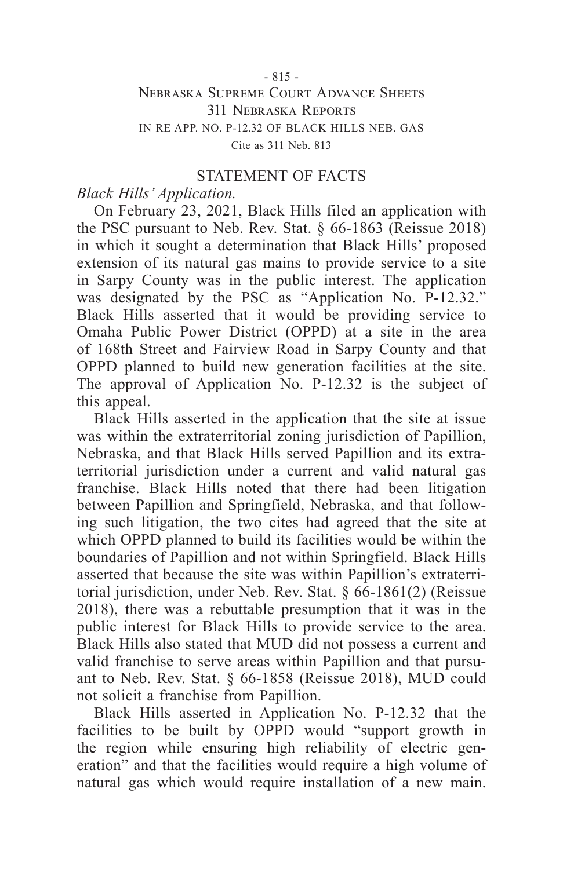#### STATEMENT OF FACTS

#### *Black Hills' Application.*

On February 23, 2021, Black Hills filed an application with the PSC pursuant to Neb. Rev. Stat. § 66-1863 (Reissue 2018) in which it sought a determination that Black Hills' proposed extension of its natural gas mains to provide service to a site in Sarpy County was in the public interest. The application was designated by the PSC as "Application No. P-12.32." Black Hills asserted that it would be providing service to Omaha Public Power District (OPPD) at a site in the area of 168th Street and Fairview Road in Sarpy County and that OPPD planned to build new generation facilities at the site. The approval of Application No. P-12.32 is the subject of this appeal.

Black Hills asserted in the application that the site at issue was within the extraterritorial zoning jurisdiction of Papillion, Nebraska, and that Black Hills served Papillion and its extraterritorial jurisdiction under a current and valid natural gas franchise. Black Hills noted that there had been litigation between Papillion and Springfield, Nebraska, and that following such litigation, the two cites had agreed that the site at which OPPD planned to build its facilities would be within the boundaries of Papillion and not within Springfield. Black Hills asserted that because the site was within Papillion's extraterritorial jurisdiction, under Neb. Rev. Stat. § 66-1861(2) (Reissue 2018), there was a rebuttable presumption that it was in the public interest for Black Hills to provide service to the area. Black Hills also stated that MUD did not possess a current and valid franchise to serve areas within Papillion and that pursuant to Neb. Rev. Stat. § 66-1858 (Reissue 2018), MUD could not solicit a franchise from Papillion.

Black Hills asserted in Application No. P-12.32 that the facilities to be built by OPPD would "support growth in the region while ensuring high reliability of electric generation" and that the facilities would require a high volume of natural gas which would require installation of a new main.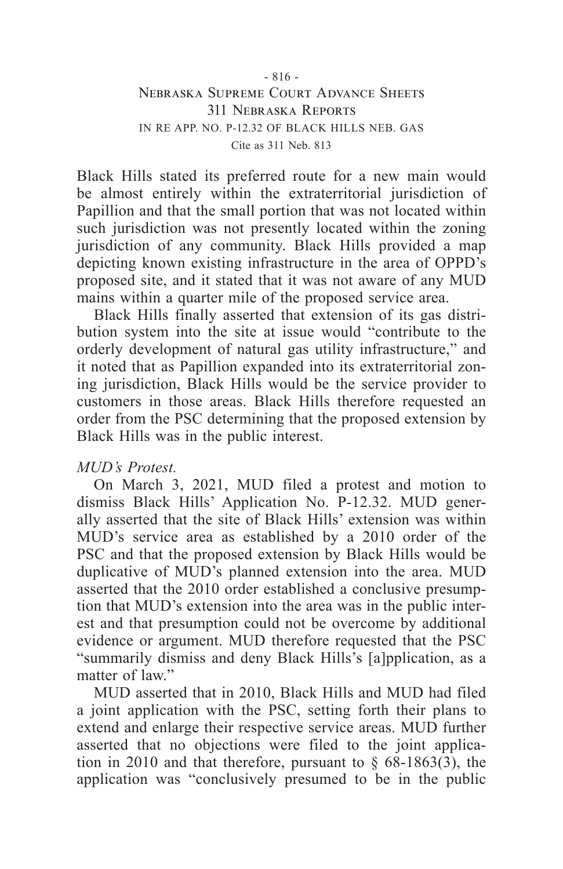Black Hills stated its preferred route for a new main would be almost entirely within the extraterritorial jurisdiction of Papillion and that the small portion that was not located within such jurisdiction was not presently located within the zoning jurisdiction of any community. Black Hills provided a map depicting known existing infrastructure in the area of OPPD's proposed site, and it stated that it was not aware of any MUD mains within a quarter mile of the proposed service area.

Black Hills finally asserted that extension of its gas distribution system into the site at issue would "contribute to the orderly development of natural gas utility infrastructure," and it noted that as Papillion expanded into its extraterritorial zoning jurisdiction, Black Hills would be the service provider to customers in those areas. Black Hills therefore requested an order from the PSC determining that the proposed extension by Black Hills was in the public interest.

### *MUD's Protest.*

On March 3, 2021, MUD filed a protest and motion to dismiss Black Hills' Application No. P-12.32. MUD generally asserted that the site of Black Hills' extension was within MUD's service area as established by a 2010 order of the PSC and that the proposed extension by Black Hills would be duplicative of MUD's planned extension into the area. MUD asserted that the 2010 order established a conclusive presumption that MUD's extension into the area was in the public interest and that presumption could not be overcome by additional evidence or argument. MUD therefore requested that the PSC "summarily dismiss and deny Black Hills's [a]pplication, as a matter of law"

MUD asserted that in 2010, Black Hills and MUD had filed a joint application with the PSC, setting forth their plans to extend and enlarge their respective service areas. MUD further asserted that no objections were filed to the joint application in 2010 and that therefore, pursuant to  $\S$  68-1863(3), the application was "conclusively presumed to be in the public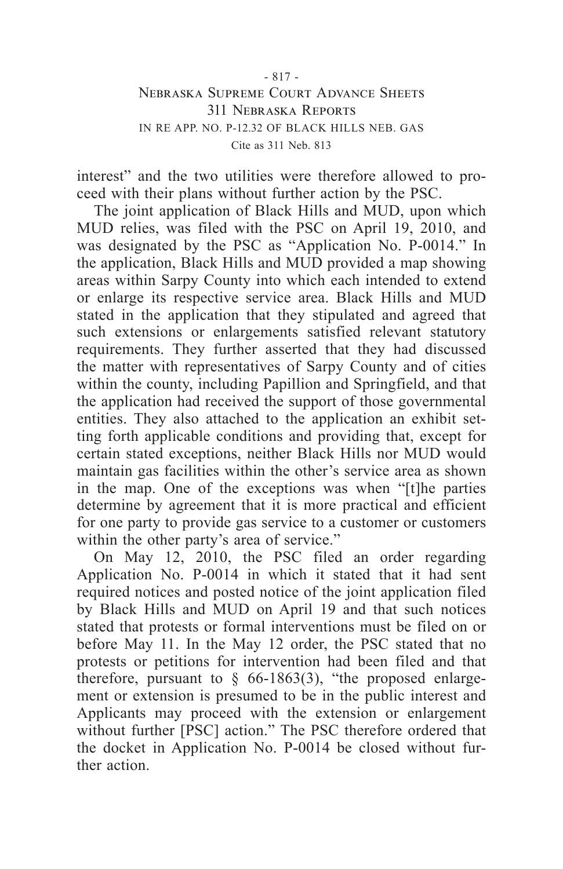interest" and the two utilities were therefore allowed to proceed with their plans without further action by the PSC.

The joint application of Black Hills and MUD, upon which MUD relies, was filed with the PSC on April 19, 2010, and was designated by the PSC as "Application No. P-0014." In the application, Black Hills and MUD provided a map showing areas within Sarpy County into which each intended to extend or enlarge its respective service area. Black Hills and MUD stated in the application that they stipulated and agreed that such extensions or enlargements satisfied relevant statutory requirements. They further asserted that they had discussed the matter with representatives of Sarpy County and of cities within the county, including Papillion and Springfield, and that the application had received the support of those governmental entities. They also attached to the application an exhibit setting forth applicable conditions and providing that, except for certain stated exceptions, neither Black Hills nor MUD would maintain gas facilities within the other's service area as shown in the map. One of the exceptions was when "[t]he parties determine by agreement that it is more practical and efficient for one party to provide gas service to a customer or customers within the other party's area of service."

On May 12, 2010, the PSC filed an order regarding Application No. P-0014 in which it stated that it had sent required notices and posted notice of the joint application filed by Black Hills and MUD on April 19 and that such notices stated that protests or formal interventions must be filed on or before May 11. In the May 12 order, the PSC stated that no protests or petitions for intervention had been filed and that therefore, pursuant to  $\frac{6}{9}$  66-1863(3), "the proposed enlargement or extension is presumed to be in the public interest and Applicants may proceed with the extension or enlargement without further [PSC] action." The PSC therefore ordered that the docket in Application No. P-0014 be closed without further action.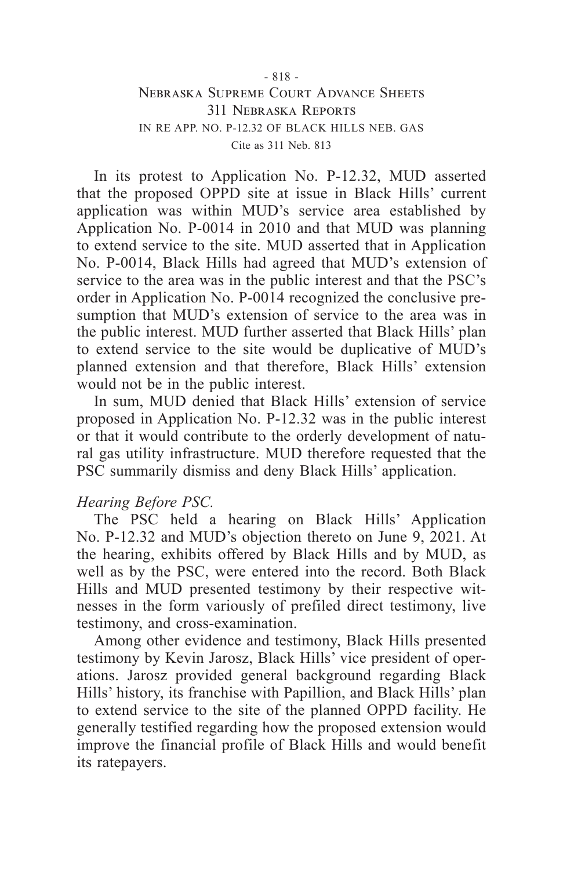In its protest to Application No. P-12.32, MUD asserted that the proposed OPPD site at issue in Black Hills' current application was within MUD's service area established by Application No. P-0014 in 2010 and that MUD was planning to extend service to the site. MUD asserted that in Application No. P-0014, Black Hills had agreed that MUD's extension of service to the area was in the public interest and that the PSC's order in Application No. P-0014 recognized the conclusive presumption that MUD's extension of service to the area was in the public interest. MUD further asserted that Black Hills' plan to extend service to the site would be duplicative of MUD's planned extension and that therefore, Black Hills' extension would not be in the public interest.

In sum, MUD denied that Black Hills' extension of service proposed in Application No. P-12.32 was in the public interest or that it would contribute to the orderly development of natural gas utility infrastructure. MUD therefore requested that the PSC summarily dismiss and deny Black Hills' application.

### *Hearing Before PSC.*

The PSC held a hearing on Black Hills' Application No. P-12.32 and MUD's objection thereto on June 9, 2021. At the hearing, exhibits offered by Black Hills and by MUD, as well as by the PSC, were entered into the record. Both Black Hills and MUD presented testimony by their respective witnesses in the form variously of prefiled direct testimony, live testimony, and cross-examination.

Among other evidence and testimony, Black Hills presented testimony by Kevin Jarosz, Black Hills' vice president of operations. Jarosz provided general background regarding Black Hills' history, its franchise with Papillion, and Black Hills' plan to extend service to the site of the planned OPPD facility. He generally testified regarding how the proposed extension would improve the financial profile of Black Hills and would benefit its ratepayers.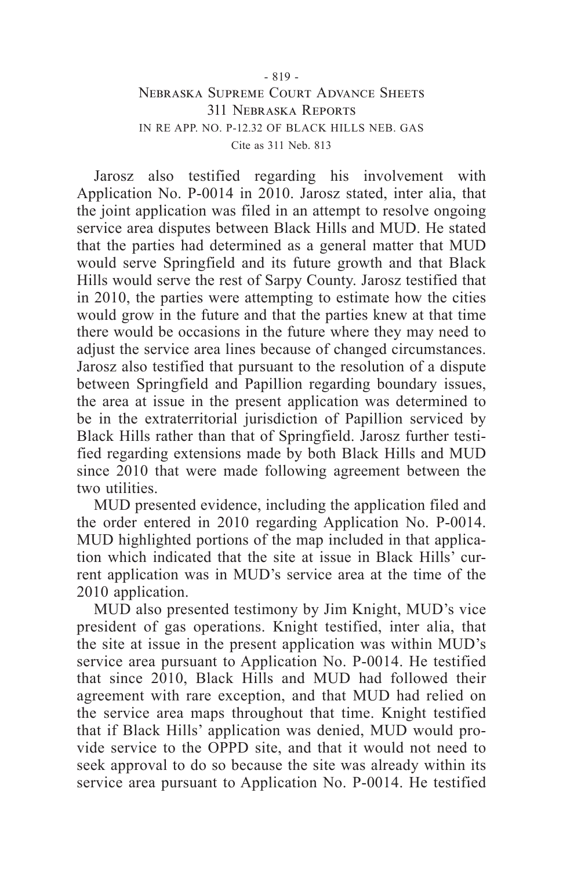Jarosz also testified regarding his involvement with Application No. P-0014 in 2010. Jarosz stated, inter alia, that the joint application was filed in an attempt to resolve ongoing service area disputes between Black Hills and MUD. He stated that the parties had determined as a general matter that MUD would serve Springfield and its future growth and that Black Hills would serve the rest of Sarpy County. Jarosz testified that in 2010, the parties were attempting to estimate how the cities would grow in the future and that the parties knew at that time there would be occasions in the future where they may need to adjust the service area lines because of changed circumstances. Jarosz also testified that pursuant to the resolution of a dispute between Springfield and Papillion regarding boundary issues, the area at issue in the present application was determined to be in the extraterritorial jurisdiction of Papillion serviced by Black Hills rather than that of Springfield. Jarosz further testified regarding extensions made by both Black Hills and MUD since 2010 that were made following agreement between the two utilities.

MUD presented evidence, including the application filed and the order entered in 2010 regarding Application No. P-0014. MUD highlighted portions of the map included in that application which indicated that the site at issue in Black Hills' current application was in MUD's service area at the time of the 2010 application.

MUD also presented testimony by Jim Knight, MUD's vice president of gas operations. Knight testified, inter alia, that the site at issue in the present application was within MUD's service area pursuant to Application No. P-0014. He testified that since 2010, Black Hills and MUD had followed their agreement with rare exception, and that MUD had relied on the service area maps throughout that time. Knight testified that if Black Hills' application was denied, MUD would provide service to the OPPD site, and that it would not need to seek approval to do so because the site was already within its service area pursuant to Application No. P-0014. He testified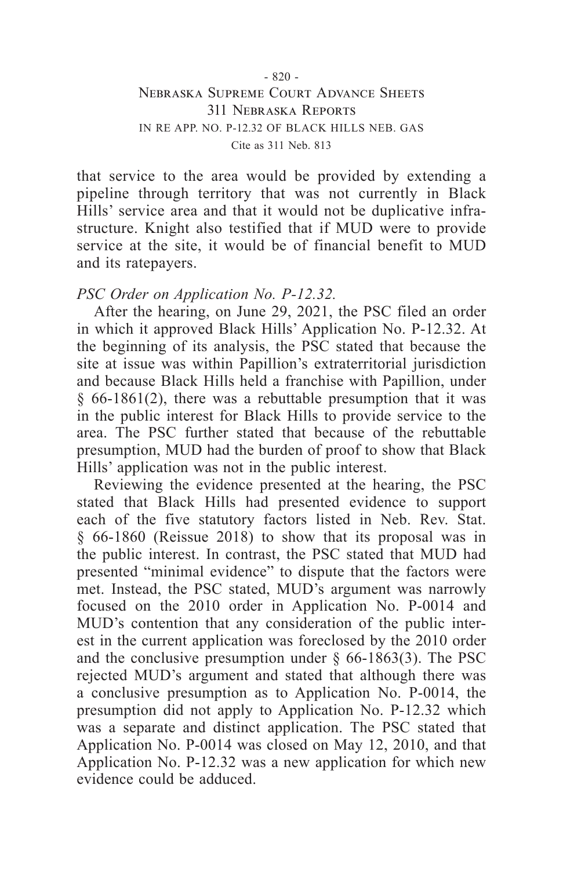that service to the area would be provided by extending a pipeline through territory that was not currently in Black Hills' service area and that it would not be duplicative infrastructure. Knight also testified that if MUD were to provide service at the site, it would be of financial benefit to MUD and its ratepayers.

### *PSC Order on Application No. P-12.32.*

After the hearing, on June 29, 2021, the PSC filed an order in which it approved Black Hills' Application No. P-12.32. At the beginning of its analysis, the PSC stated that because the site at issue was within Papillion's extraterritorial jurisdiction and because Black Hills held a franchise with Papillion, under § 66-1861(2), there was a rebuttable presumption that it was in the public interest for Black Hills to provide service to the area. The PSC further stated that because of the rebuttable presumption, MUD had the burden of proof to show that Black Hills' application was not in the public interest.

Reviewing the evidence presented at the hearing, the PSC stated that Black Hills had presented evidence to support each of the five statutory factors listed in Neb. Rev. Stat. § 66-1860 (Reissue 2018) to show that its proposal was in the public interest. In contrast, the PSC stated that MUD had presented "minimal evidence" to dispute that the factors were met. Instead, the PSC stated, MUD's argument was narrowly focused on the 2010 order in Application No. P-0014 and MUD's contention that any consideration of the public interest in the current application was foreclosed by the 2010 order and the conclusive presumption under  $\S$  66-1863(3). The PSC rejected MUD's argument and stated that although there was a conclusive presumption as to Application No. P-0014, the presumption did not apply to Application No. P-12.32 which was a separate and distinct application. The PSC stated that Application No. P-0014 was closed on May 12, 2010, and that Application No. P-12.32 was a new application for which new evidence could be adduced.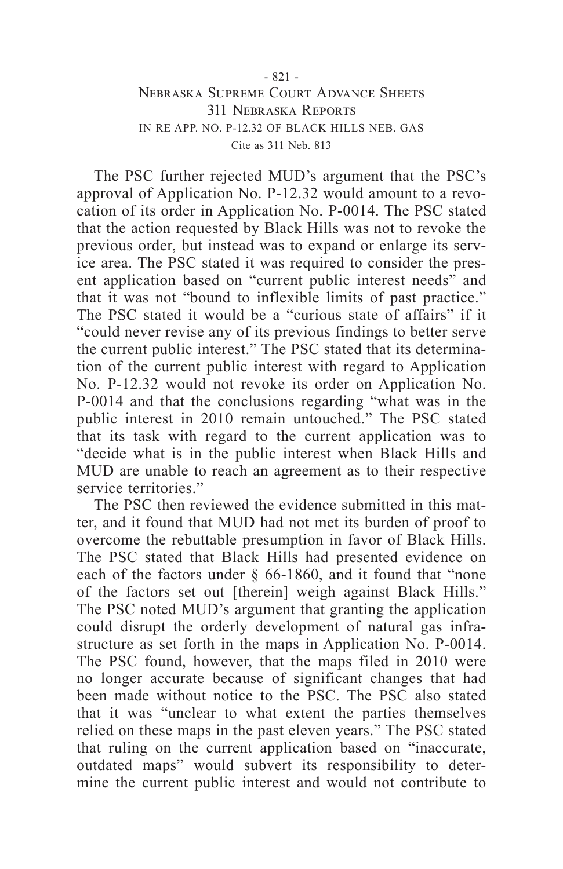The PSC further rejected MUD's argument that the PSC's approval of Application No. P-12.32 would amount to a revocation of its order in Application No. P-0014. The PSC stated that the action requested by Black Hills was not to revoke the previous order, but instead was to expand or enlarge its service area. The PSC stated it was required to consider the present application based on "current public interest needs" and that it was not "bound to inflexible limits of past practice." The PSC stated it would be a "curious state of affairs" if it "could never revise any of its previous findings to better serve the current public interest." The PSC stated that its determination of the current public interest with regard to Application No. P-12.32 would not revoke its order on Application No. P-0014 and that the conclusions regarding "what was in the public interest in 2010 remain untouched." The PSC stated that its task with regard to the current application was to "decide what is in the public interest when Black Hills and MUD are unable to reach an agreement as to their respective service territories."

The PSC then reviewed the evidence submitted in this matter, and it found that MUD had not met its burden of proof to overcome the rebuttable presumption in favor of Black Hills. The PSC stated that Black Hills had presented evidence on each of the factors under § 66-1860, and it found that "none of the factors set out [therein] weigh against Black Hills." The PSC noted MUD's argument that granting the application could disrupt the orderly development of natural gas infrastructure as set forth in the maps in Application No. P-0014. The PSC found, however, that the maps filed in 2010 were no longer accurate because of significant changes that had been made without notice to the PSC. The PSC also stated that it was "unclear to what extent the parties themselves relied on these maps in the past eleven years." The PSC stated that ruling on the current application based on "inaccurate, outdated maps" would subvert its responsibility to determine the current public interest and would not contribute to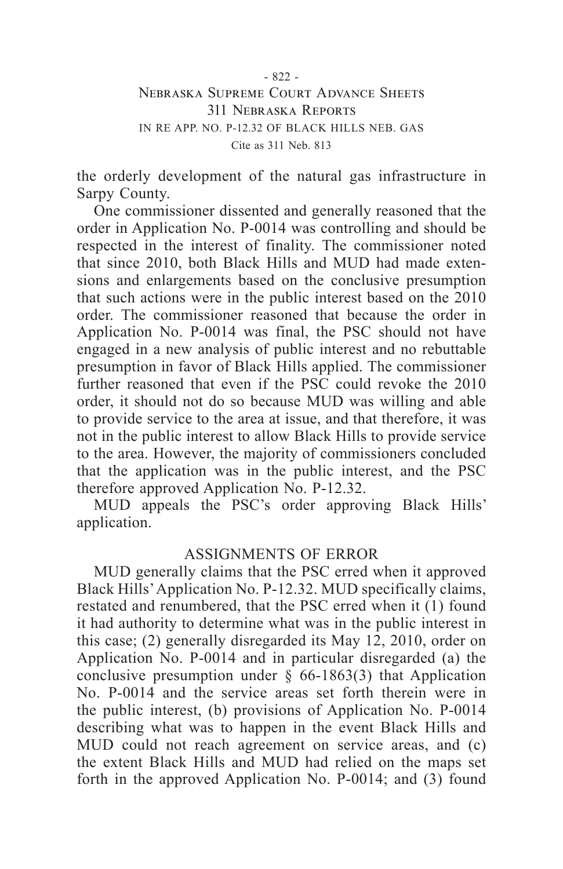the orderly development of the natural gas infrastructure in Sarpy County.

One commissioner dissented and generally reasoned that the order in Application No. P-0014 was controlling and should be respected in the interest of finality. The commissioner noted that since 2010, both Black Hills and MUD had made extensions and enlargements based on the conclusive presumption that such actions were in the public interest based on the 2010 order. The commissioner reasoned that because the order in Application No. P-0014 was final, the PSC should not have engaged in a new analysis of public interest and no rebuttable presumption in favor of Black Hills applied. The commissioner further reasoned that even if the PSC could revoke the 2010 order, it should not do so because MUD was willing and able to provide service to the area at issue, and that therefore, it was not in the public interest to allow Black Hills to provide service to the area. However, the majority of commissioners concluded that the application was in the public interest, and the PSC therefore approved Application No. P-12.32.

MUD appeals the PSC's order approving Black Hills' application.

#### ASSIGNMENTS OF ERROR

MUD generally claims that the PSC erred when it approved Black Hills' Application No. P-12.32. MUD specifically claims, restated and renumbered, that the PSC erred when it (1) found it had authority to determine what was in the public interest in this case; (2) generally disregarded its May 12, 2010, order on Application No. P-0014 and in particular disregarded (a) the conclusive presumption under  $\S$  66-1863(3) that Application No. P-0014 and the service areas set forth therein were in the public interest, (b) provisions of Application No. P-0014 describing what was to happen in the event Black Hills and MUD could not reach agreement on service areas, and (c) the extent Black Hills and MUD had relied on the maps set forth in the approved Application No. P-0014; and (3) found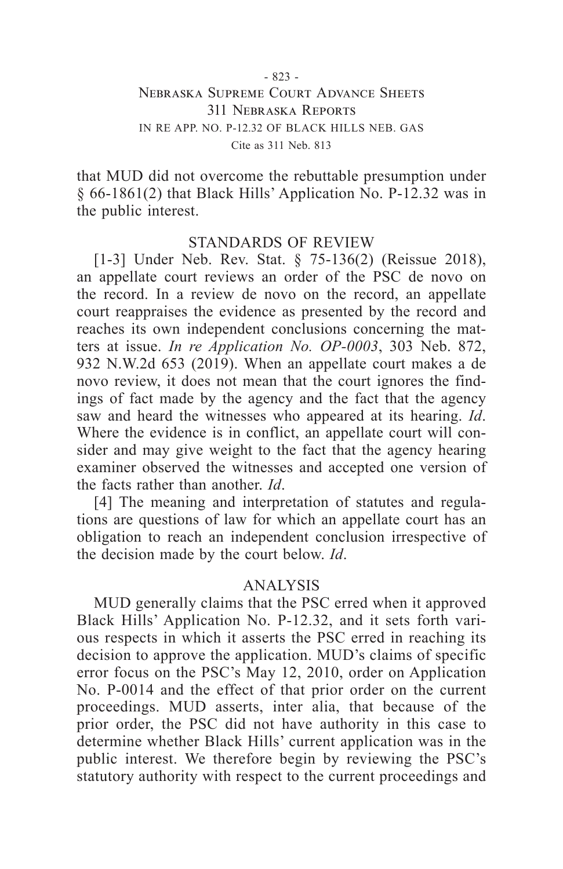that MUD did not overcome the rebuttable presumption under § 66-1861(2) that Black Hills' Application No. P-12.32 was in the public interest.

### STANDARDS OF REVIEW

[1-3] Under Neb. Rev. Stat. § 75-136(2) (Reissue 2018), an appellate court reviews an order of the PSC de novo on the record. In a review de novo on the record, an appellate court reappraises the evidence as presented by the record and reaches its own independent conclusions concerning the matters at issue. *In re Application No. OP-0003*, 303 Neb. 872, 932 N.W.2d 653 (2019). When an appellate court makes a de novo review, it does not mean that the court ignores the findings of fact made by the agency and the fact that the agency saw and heard the witnesses who appeared at its hearing. *Id*. Where the evidence is in conflict, an appellate court will consider and may give weight to the fact that the agency hearing examiner observed the witnesses and accepted one version of the facts rather than another. *Id*.

[4] The meaning and interpretation of statutes and regulations are questions of law for which an appellate court has an obligation to reach an independent conclusion irrespective of the decision made by the court below. *Id*.

#### ANALYSIS

MUD generally claims that the PSC erred when it approved Black Hills' Application No. P-12.32, and it sets forth various respects in which it asserts the PSC erred in reaching its decision to approve the application. MUD's claims of specific error focus on the PSC's May 12, 2010, order on Application No. P-0014 and the effect of that prior order on the current proceedings. MUD asserts, inter alia, that because of the prior order, the PSC did not have authority in this case to determine whether Black Hills' current application was in the public interest. We therefore begin by reviewing the PSC's statutory authority with respect to the current proceedings and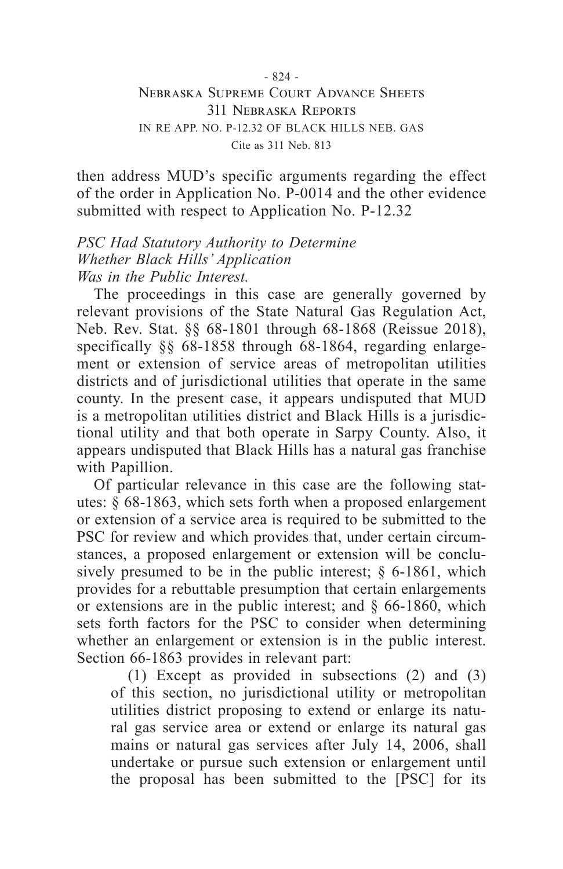then address MUD's specific arguments regarding the effect of the order in Application No. P-0014 and the other evidence submitted with respect to Application No. P-12.32

*PSC Had Statutory Authority to Determine Whether Black Hills' Application Was in the Public Interest.*

The proceedings in this case are generally governed by relevant provisions of the State Natural Gas Regulation Act, Neb. Rev. Stat. §§ 68-1801 through 68-1868 (Reissue 2018), specifically §§ 68-1858 through 68-1864, regarding enlargement or extension of service areas of metropolitan utilities districts and of jurisdictional utilities that operate in the same county. In the present case, it appears undisputed that MUD is a metropolitan utilities district and Black Hills is a jurisdictional utility and that both operate in Sarpy County. Also, it appears undisputed that Black Hills has a natural gas franchise with Papillion.

Of particular relevance in this case are the following statutes:  $\S$  68-1863, which sets forth when a proposed enlargement or extension of a service area is required to be submitted to the PSC for review and which provides that, under certain circumstances, a proposed enlargement or extension will be conclusively presumed to be in the public interest;  $\S$  6-1861, which provides for a rebuttable presumption that certain enlargements or extensions are in the public interest; and § 66-1860, which sets forth factors for the PSC to consider when determining whether an enlargement or extension is in the public interest. Section 66-1863 provides in relevant part:

(1) Except as provided in subsections (2) and (3) of this section, no jurisdictional utility or metropolitan utilities district proposing to extend or enlarge its natural gas service area or extend or enlarge its natural gas mains or natural gas services after July 14, 2006, shall undertake or pursue such extension or enlargement until the proposal has been submitted to the [PSC] for its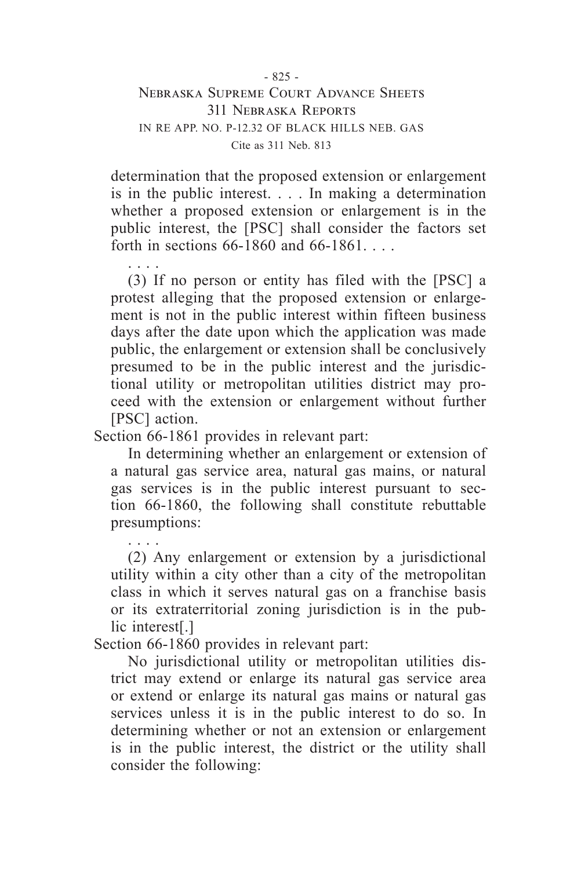determination that the proposed extension or enlargement is in the public interest. . . . In making a determination whether a proposed extension or enlargement is in the public interest, the [PSC] shall consider the factors set forth in sections 66-1860 and 66-1861. . . .

. . . . (3) If no person or entity has filed with the [PSC] a protest alleging that the proposed extension or enlargement is not in the public interest within fifteen business days after the date upon which the application was made public, the enlargement or extension shall be conclusively presumed to be in the public interest and the jurisdictional utility or metropolitan utilities district may proceed with the extension or enlargement without further [PSC] action.

Section 66-1861 provides in relevant part:

In determining whether an enlargement or extension of a natural gas service area, natural gas mains, or natural gas services is in the public interest pursuant to section 66-1860, the following shall constitute rebuttable presumptions:

. . . . (2) Any enlargement or extension by a jurisdictional utility within a city other than a city of the metropolitan class in which it serves natural gas on a franchise basis or its extraterritorial zoning jurisdiction is in the public interest[.]

Section 66-1860 provides in relevant part:

No jurisdictional utility or metropolitan utilities district may extend or enlarge its natural gas service area or extend or enlarge its natural gas mains or natural gas services unless it is in the public interest to do so. In determining whether or not an extension or enlargement is in the public interest, the district or the utility shall consider the following: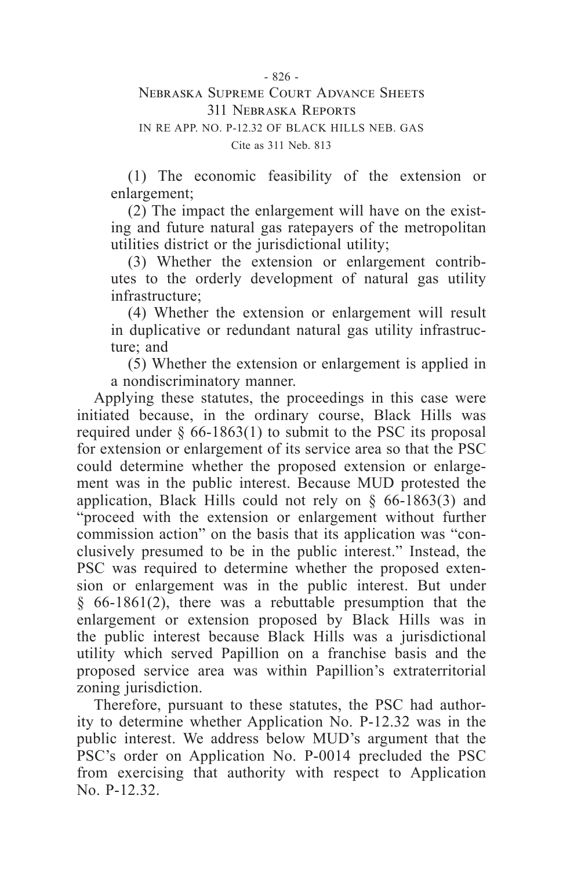(1) The economic feasibility of the extension or enlargement;

(2) The impact the enlargement will have on the existing and future natural gas ratepayers of the metropolitan utilities district or the jurisdictional utility;

(3) Whether the extension or enlargement contributes to the orderly development of natural gas utility infrastructure;

(4) Whether the extension or enlargement will result in duplicative or redundant natural gas utility infrastructure; and

(5) Whether the extension or enlargement is applied in a nondiscriminatory manner.

Applying these statutes, the proceedings in this case were initiated because, in the ordinary course, Black Hills was required under  $\S$  66-1863(1) to submit to the PSC its proposal for extension or enlargement of its service area so that the PSC could determine whether the proposed extension or enlargement was in the public interest. Because MUD protested the application, Black Hills could not rely on § 66-1863(3) and "proceed with the extension or enlargement without further commission action" on the basis that its application was "conclusively presumed to be in the public interest." Instead, the PSC was required to determine whether the proposed extension or enlargement was in the public interest. But under § 66-1861(2), there was a rebuttable presumption that the enlargement or extension proposed by Black Hills was in the public interest because Black Hills was a jurisdictional utility which served Papillion on a franchise basis and the proposed service area was within Papillion's extraterritorial zoning jurisdiction.

Therefore, pursuant to these statutes, the PSC had authority to determine whether Application No. P-12.32 was in the public interest. We address below MUD's argument that the PSC's order on Application No. P-0014 precluded the PSC from exercising that authority with respect to Application No. P-12.32.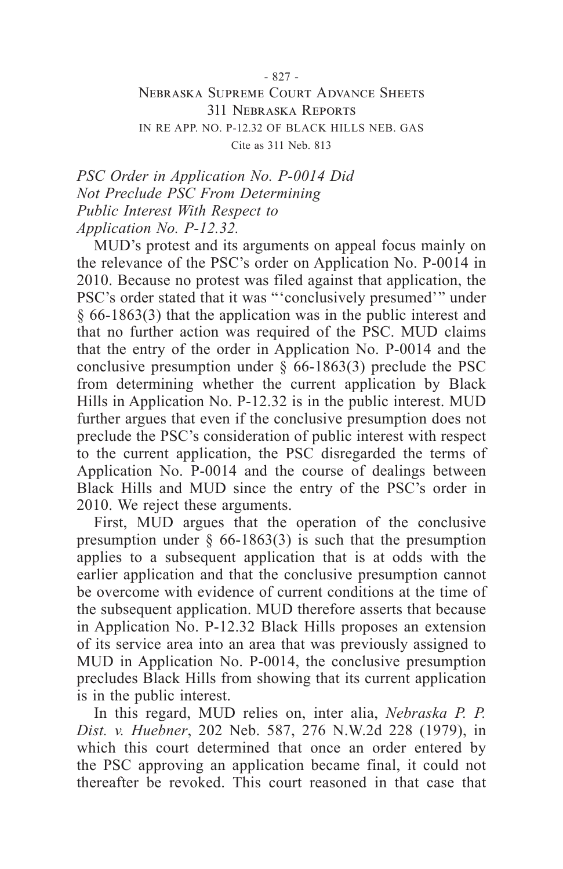*PSC Order in Application No. P-0014 Did Not Preclude PSC From Determining Public Interest With Respect to Application No. P-12.32.*

MUD's protest and its arguments on appeal focus mainly on the relevance of the PSC's order on Application No. P-0014 in 2010. Because no protest was filed against that application, the PSC's order stated that it was "'conclusively presumed'" under § 66-1863(3) that the application was in the public interest and that no further action was required of the PSC. MUD claims that the entry of the order in Application No. P-0014 and the conclusive presumption under  $\S$  66-1863(3) preclude the PSC from determining whether the current application by Black Hills in Application No. P-12.32 is in the public interest. MUD further argues that even if the conclusive presumption does not preclude the PSC's consideration of public interest with respect to the current application, the PSC disregarded the terms of Application No. P-0014 and the course of dealings between Black Hills and MUD since the entry of the PSC's order in 2010. We reject these arguments.

First, MUD argues that the operation of the conclusive presumption under  $\S$  66-1863(3) is such that the presumption applies to a subsequent application that is at odds with the earlier application and that the conclusive presumption cannot be overcome with evidence of current conditions at the time of the subsequent application. MUD therefore asserts that because in Application No. P-12.32 Black Hills proposes an extension of its service area into an area that was previously assigned to MUD in Application No. P-0014, the conclusive presumption precludes Black Hills from showing that its current application is in the public interest.

In this regard, MUD relies on, inter alia, *Nebraska P. P. Dist. v. Huebner*, 202 Neb. 587, 276 N.W.2d 228 (1979), in which this court determined that once an order entered by the PSC approving an application became final, it could not thereafter be revoked. This court reasoned in that case that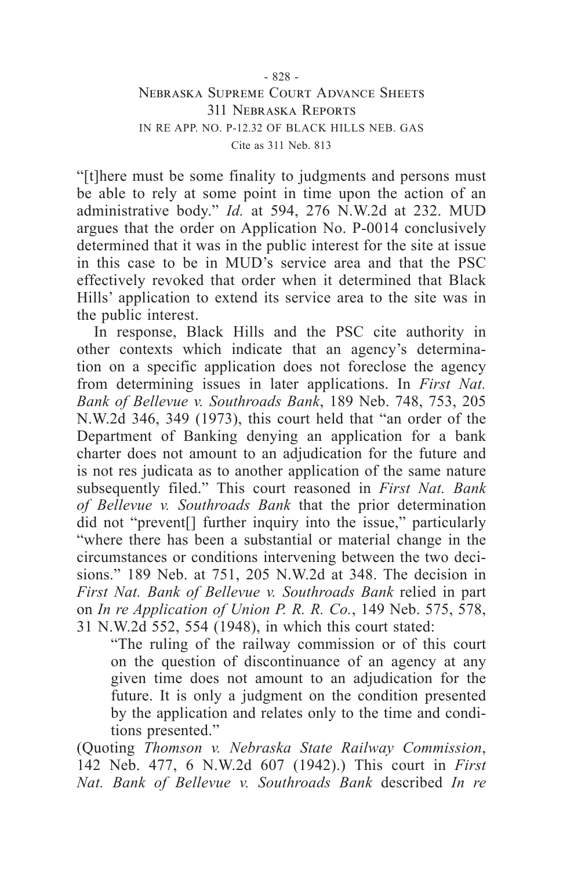"[t]here must be some finality to judgments and persons must be able to rely at some point in time upon the action of an administrative body." *Id.* at 594, 276 N.W.2d at 232. MUD argues that the order on Application No. P-0014 conclusively determined that it was in the public interest for the site at issue in this case to be in MUD's service area and that the PSC effectively revoked that order when it determined that Black Hills' application to extend its service area to the site was in the public interest.

In response, Black Hills and the PSC cite authority in other contexts which indicate that an agency's determination on a specific application does not foreclose the agency from determining issues in later applications. In *First Nat. Bank of Bellevue v. Southroads Bank*, 189 Neb. 748, 753, 205 N.W.2d 346, 349 (1973), this court held that "an order of the Department of Banking denying an application for a bank charter does not amount to an adjudication for the future and is not res judicata as to another application of the same nature subsequently filed." This court reasoned in *First Nat. Bank of Bellevue v. Southroads Bank* that the prior determination did not "prevent[] further inquiry into the issue," particularly "where there has been a substantial or material change in the circumstances or conditions intervening between the two decisions." 189 Neb. at 751, 205 N.W.2d at 348. The decision in *First Nat. Bank of Bellevue v. Southroads Bank* relied in part on *In re Application of Union P. R. R. Co.*, 149 Neb. 575, 578, 31 N.W.2d 552, 554 (1948), in which this court stated:

"The ruling of the railway commission or of this court on the question of discontinuance of an agency at any given time does not amount to an adjudication for the future. It is only a judgment on the condition presented by the application and relates only to the time and conditions presented."

(Quoting *Thomson v. Nebraska State Railway Commission*, 142 Neb. 477, 6 N.W.2d 607 (1942).) This court in *First Nat. Bank of Bellevue v. Southroads Bank* described *In re*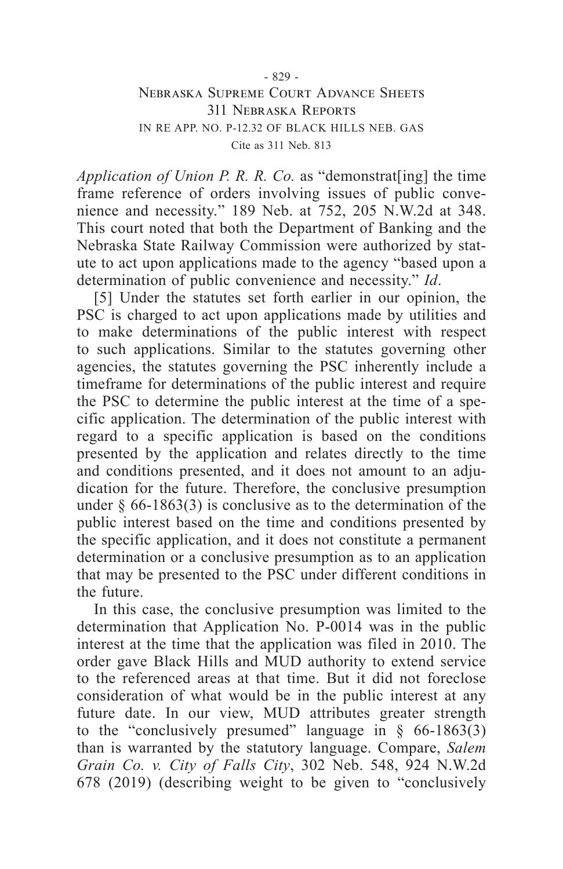*Application of Union P. R. R. Co.* as "demonstrat[ing] the time frame reference of orders involving issues of public convenience and necessity." 189 Neb. at 752, 205 N.W.2d at 348. This court noted that both the Department of Banking and the Nebraska State Railway Commission were authorized by statute to act upon applications made to the agency "based upon a determination of public convenience and necessity." *Id*.

[5] Under the statutes set forth earlier in our opinion, the PSC is charged to act upon applications made by utilities and to make determinations of the public interest with respect to such applications. Similar to the statutes governing other agencies, the statutes governing the PSC inherently include a timeframe for determinations of the public interest and require the PSC to determine the public interest at the time of a specific application. The determination of the public interest with regard to a specific application is based on the conditions presented by the application and relates directly to the time and conditions presented, and it does not amount to an adjudication for the future. Therefore, the conclusive presumption under  $\S$  66-1863(3) is conclusive as to the determination of the public interest based on the time and conditions presented by the specific application, and it does not constitute a permanent determination or a conclusive presumption as to an application that may be presented to the PSC under different conditions in the future.

In this case, the conclusive presumption was limited to the determination that Application No. P-0014 was in the public interest at the time that the application was filed in 2010. The order gave Black Hills and MUD authority to extend service to the referenced areas at that time. But it did not foreclose consideration of what would be in the public interest at any future date. In our view, MUD attributes greater strength to the "conclusively presumed" language in  $\S$  66-1863(3) than is warranted by the statutory language. Compare, *Salem Grain Co. v. City of Falls City*, 302 Neb. 548, 924 N.W.2d 678 (2019) (describing weight to be given to "conclusively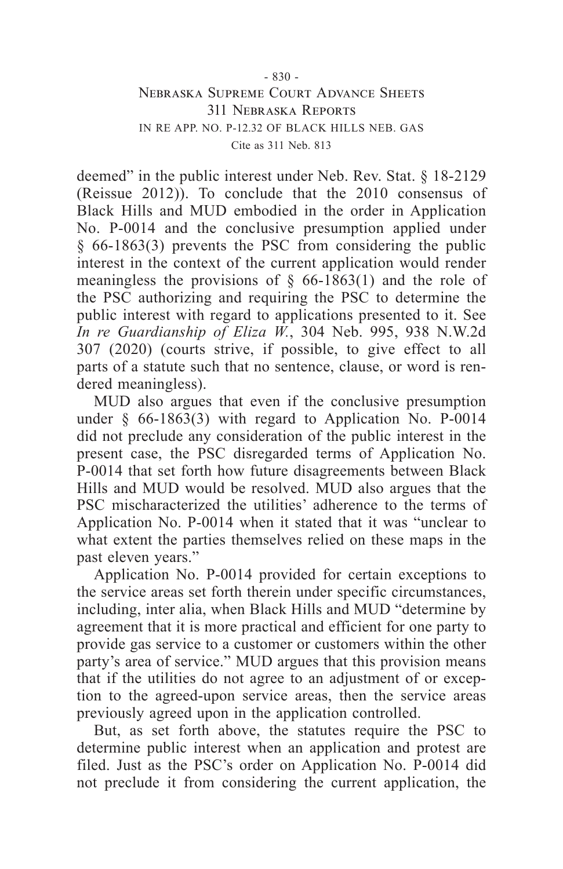deemed" in the public interest under Neb. Rev. Stat. § 18-2129 (Reissue 2012)). To conclude that the 2010 consensus of Black Hills and MUD embodied in the order in Application No. P-0014 and the conclusive presumption applied under § 66-1863(3) prevents the PSC from considering the public interest in the context of the current application would render meaningless the provisions of  $\S$  66-1863(1) and the role of the PSC authorizing and requiring the PSC to determine the public interest with regard to applications presented to it. See *In re Guardianship of Eliza W.*, 304 Neb. 995, 938 N.W.2d 307 (2020) (courts strive, if possible, to give effect to all parts of a statute such that no sentence, clause, or word is rendered meaningless).

MUD also argues that even if the conclusive presumption under  $§$  66-1863(3) with regard to Application No. P-0014 did not preclude any consideration of the public interest in the present case, the PSC disregarded terms of Application No. P-0014 that set forth how future disagreements between Black Hills and MUD would be resolved. MUD also argues that the PSC mischaracterized the utilities' adherence to the terms of Application No. P-0014 when it stated that it was "unclear to what extent the parties themselves relied on these maps in the past eleven years."

Application No. P-0014 provided for certain exceptions to the service areas set forth therein under specific circumstances, including, inter alia, when Black Hills and MUD "determine by agreement that it is more practical and efficient for one party to provide gas service to a customer or customers within the other party's area of service." MUD argues that this provision means that if the utilities do not agree to an adjustment of or exception to the agreed-upon service areas, then the service areas previously agreed upon in the application controlled.

But, as set forth above, the statutes require the PSC to determine public interest when an application and protest are filed. Just as the PSC's order on Application No. P-0014 did not preclude it from considering the current application, the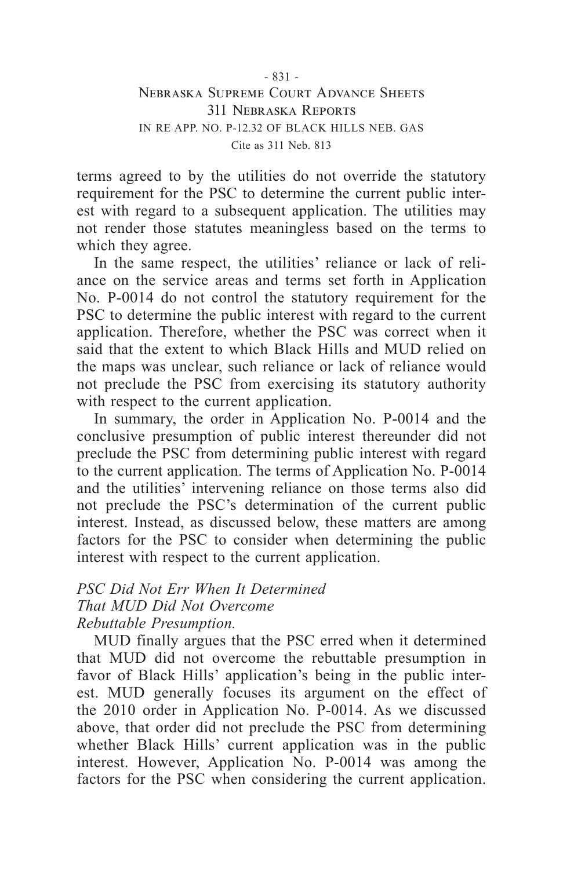terms agreed to by the utilities do not override the statutory requirement for the PSC to determine the current public interest with regard to a subsequent application. The utilities may not render those statutes meaningless based on the terms to which they agree.

In the same respect, the utilities' reliance or lack of reliance on the service areas and terms set forth in Application No. P-0014 do not control the statutory requirement for the PSC to determine the public interest with regard to the current application. Therefore, whether the PSC was correct when it said that the extent to which Black Hills and MUD relied on the maps was unclear, such reliance or lack of reliance would not preclude the PSC from exercising its statutory authority with respect to the current application.

In summary, the order in Application No. P-0014 and the conclusive presumption of public interest thereunder did not preclude the PSC from determining public interest with regard to the current application. The terms of Application No. P-0014 and the utilities' intervening reliance on those terms also did not preclude the PSC's determination of the current public interest. Instead, as discussed below, these matters are among factors for the PSC to consider when determining the public interest with respect to the current application.

### *PSC Did Not Err When It Determined That MUD Did Not Overcome Rebuttable Presumption.*

MUD finally argues that the PSC erred when it determined that MUD did not overcome the rebuttable presumption in favor of Black Hills' application's being in the public interest. MUD generally focuses its argument on the effect of the 2010 order in Application No. P-0014. As we discussed above, that order did not preclude the PSC from determining whether Black Hills' current application was in the public interest. However, Application No. P-0014 was among the factors for the PSC when considering the current application.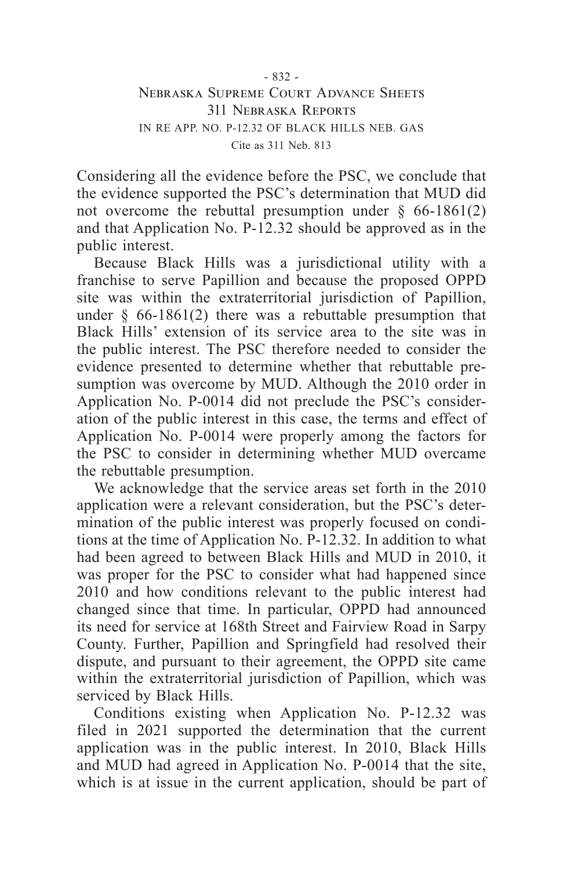Considering all the evidence before the PSC, we conclude that the evidence supported the PSC's determination that MUD did not overcome the rebuttal presumption under  $\S$  66-1861(2) and that Application No. P-12.32 should be approved as in the public interest.

Because Black Hills was a jurisdictional utility with a franchise to serve Papillion and because the proposed OPPD site was within the extraterritorial jurisdiction of Papillion, under  $\S$  66-1861(2) there was a rebuttable presumption that Black Hills' extension of its service area to the site was in the public interest. The PSC therefore needed to consider the evidence presented to determine whether that rebuttable presumption was overcome by MUD. Although the 2010 order in Application No. P-0014 did not preclude the PSC's consideration of the public interest in this case, the terms and effect of Application No. P-0014 were properly among the factors for the PSC to consider in determining whether MUD overcame the rebuttable presumption.

We acknowledge that the service areas set forth in the 2010 application were a relevant consideration, but the PSC's determination of the public interest was properly focused on conditions at the time of Application No. P-12.32. In addition to what had been agreed to between Black Hills and MUD in 2010, it was proper for the PSC to consider what had happened since 2010 and how conditions relevant to the public interest had changed since that time. In particular, OPPD had announced its need for service at 168th Street and Fairview Road in Sarpy County. Further, Papillion and Springfield had resolved their dispute, and pursuant to their agreement, the OPPD site came within the extraterritorial jurisdiction of Papillion, which was serviced by Black Hills.

Conditions existing when Application No. P-12.32 was filed in 2021 supported the determination that the current application was in the public interest. In 2010, Black Hills and MUD had agreed in Application No. P-0014 that the site, which is at issue in the current application, should be part of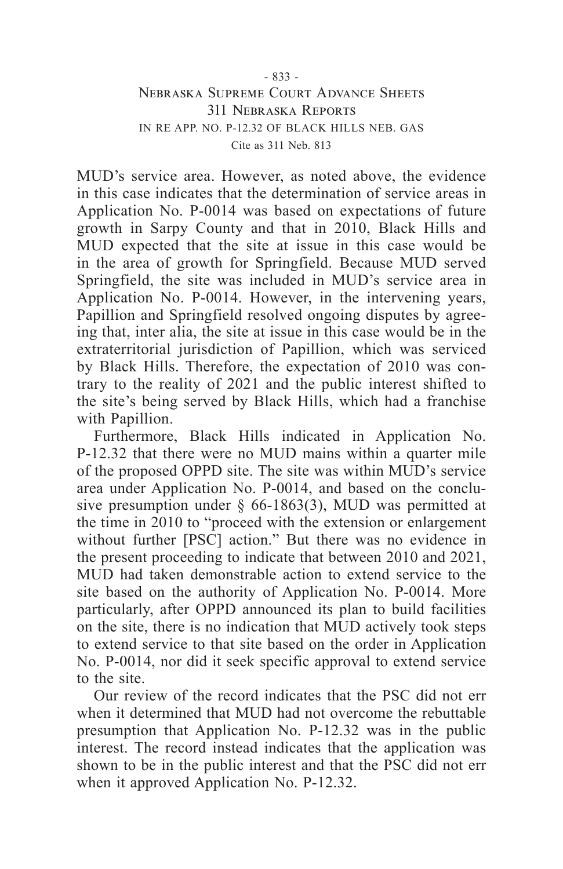MUD's service area. However, as noted above, the evidence in this case indicates that the determination of service areas in Application No. P-0014 was based on expectations of future growth in Sarpy County and that in 2010, Black Hills and MUD expected that the site at issue in this case would be in the area of growth for Springfield. Because MUD served Springfield, the site was included in MUD's service area in Application No. P-0014. However, in the intervening years, Papillion and Springfield resolved ongoing disputes by agreeing that, inter alia, the site at issue in this case would be in the extraterritorial jurisdiction of Papillion, which was serviced by Black Hills. Therefore, the expectation of 2010 was contrary to the reality of 2021 and the public interest shifted to the site's being served by Black Hills, which had a franchise with Papillion.

Furthermore, Black Hills indicated in Application No. P-12.32 that there were no MUD mains within a quarter mile of the proposed OPPD site. The site was within MUD's service area under Application No. P-0014, and based on the conclusive presumption under § 66-1863(3), MUD was permitted at the time in 2010 to "proceed with the extension or enlargement without further [PSC] action." But there was no evidence in the present proceeding to indicate that between 2010 and 2021, MUD had taken demonstrable action to extend service to the site based on the authority of Application No. P-0014. More particularly, after OPPD announced its plan to build facilities on the site, there is no indication that MUD actively took steps to extend service to that site based on the order in Application No. P-0014, nor did it seek specific approval to extend service to the site.

Our review of the record indicates that the PSC did not err when it determined that MUD had not overcome the rebuttable presumption that Application No. P-12.32 was in the public interest. The record instead indicates that the application was shown to be in the public interest and that the PSC did not err when it approved Application No. P-12.32.